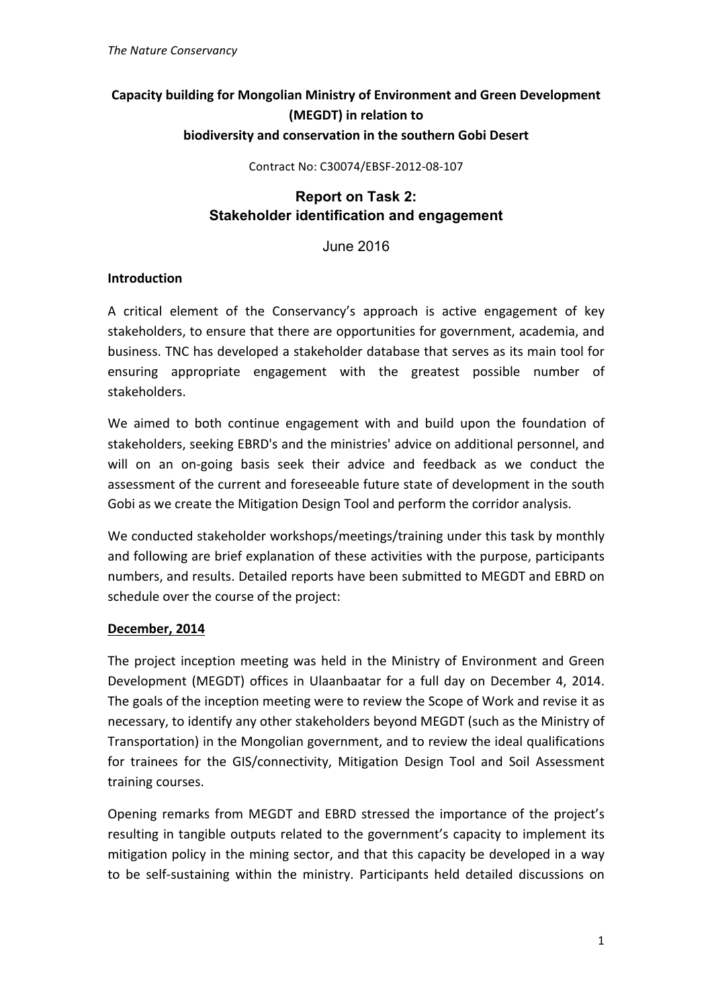# **Capacity building for Mongolian Ministry of Environment and Green Development (MEGDT)** in relation to **biodiversity and conservation in the southern Gobi Desert**

Contract No: C30074/EBSF-2012-08-107

## **Report on Task 2: Stakeholder identification and engagement**

June 2016

### **Introduction**

A critical element of the Conservancy's approach is active engagement of key stakeholders, to ensure that there are opportunities for government, academia, and business. TNC has developed a stakeholder database that serves as its main tool for ensuring appropriate engagement with the greatest possible number of stakeholders.

We aimed to both continue engagement with and build upon the foundation of stakeholders, seeking EBRD's and the ministries' advice on additional personnel, and will on an on-going basis seek their advice and feedback as we conduct the assessment of the current and foreseeable future state of development in the south Gobi as we create the Mitigation Design Tool and perform the corridor analysis.

We conducted stakeholder workshops/meetings/training under this task by monthly and following are brief explanation of these activities with the purpose, participants numbers, and results. Detailed reports have been submitted to MEGDT and EBRD on schedule over the course of the project:

## **December, 2014**

The project inception meeting was held in the Ministry of Environment and Green Development (MEGDT) offices in Ulaanbaatar for a full day on December 4, 2014. The goals of the inception meeting were to review the Scope of Work and revise it as necessary, to identify any other stakeholders beyond MEGDT (such as the Ministry of Transportation) in the Mongolian government, and to review the ideal qualifications for trainees for the GIS/connectivity, Mitigation Design Tool and Soil Assessment training courses.

Opening remarks from MEGDT and EBRD stressed the importance of the project's resulting in tangible outputs related to the government's capacity to implement its mitigation policy in the mining sector, and that this capacity be developed in a way to be self-sustaining within the ministry. Participants held detailed discussions on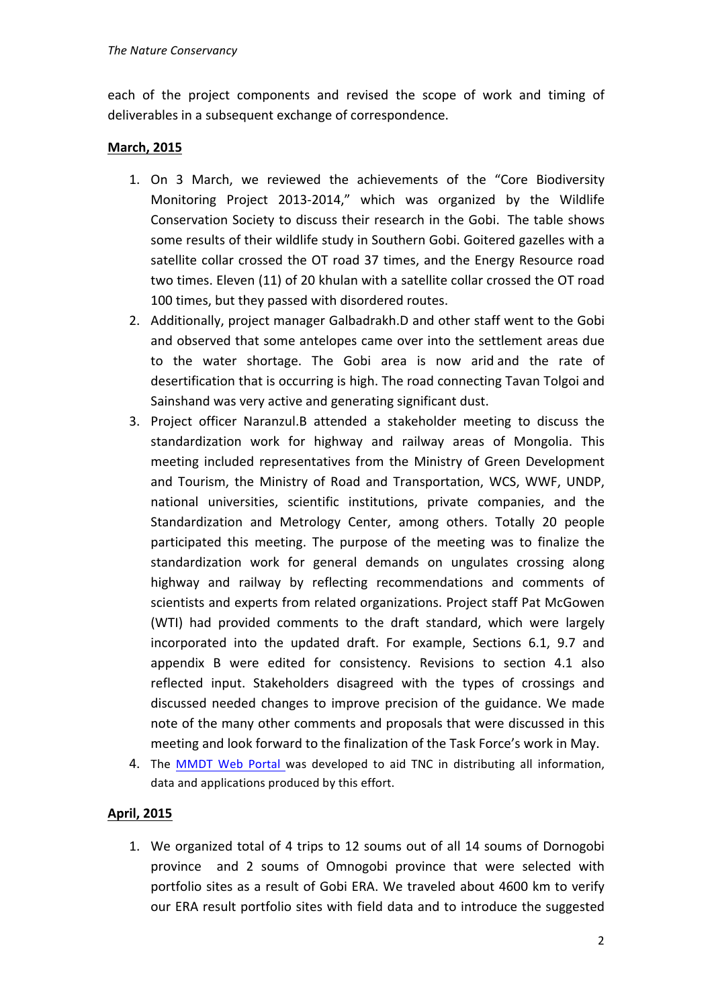each of the project components and revised the scope of work and timing of deliverables in a subsequent exchange of correspondence.

## **March, 2015**

- 1. On 3 March, we reviewed the achievements of the "Core Biodiversity Monitoring Project 2013-2014," which was organized by the Wildlife Conservation Society to discuss their research in the Gobi. The table shows some results of their wildlife study in Southern Gobi. Goitered gazelles with a satellite collar crossed the OT road 37 times, and the Energy Resource road two times. Eleven (11) of 20 khulan with a satellite collar crossed the OT road 100 times, but they passed with disordered routes.
- 2. Additionally, project manager Galbadrakh.D and other staff went to the Gobi and observed that some antelopes came over into the settlement areas due to the water shortage. The Gobi area is now arid and the rate of desertification that is occurring is high. The road connecting Tavan Tolgoi and Sainshand was very active and generating significant dust.
- 3. Project officer Naranzul.B attended a stakeholder meeting to discuss the standardization work for highway and railway areas of Mongolia. This meeting included representatives from the Ministry of Green Development and Tourism, the Ministry of Road and Transportation, WCS, WWF, UNDP, national universities, scientific institutions, private companies, and the Standardization and Metrology Center, among others. Totally 20 people participated this meeting. The purpose of the meeting was to finalize the standardization work for general demands on ungulates crossing along highway and railway by reflecting recommendations and comments of scientists and experts from related organizations. Project staff Pat McGowen (WTI) had provided comments to the draft standard, which were largely incorporated into the updated draft. For example, Sections 6.1, 9.7 and appendix B were edited for consistency. Revisions to section 4.1 also reflected input. Stakeholders disagreed with the types of crossings and discussed needed changes to improve precision of the guidance. We made note of the many other comments and proposals that were discussed in this meeting and look forward to the finalization of the Task Force's work in May.
- 4. The MMDT Web Portal was developed to aid TNC in distributing all information, data and applications produced by this effort.

# **April, 2015**

1. We organized total of 4 trips to 12 soums out of all 14 soums of Dornogobi province and 2 soums of Omnogobi province that were selected with portfolio sites as a result of Gobi ERA. We traveled about 4600 km to verify our ERA result portfolio sites with field data and to introduce the suggested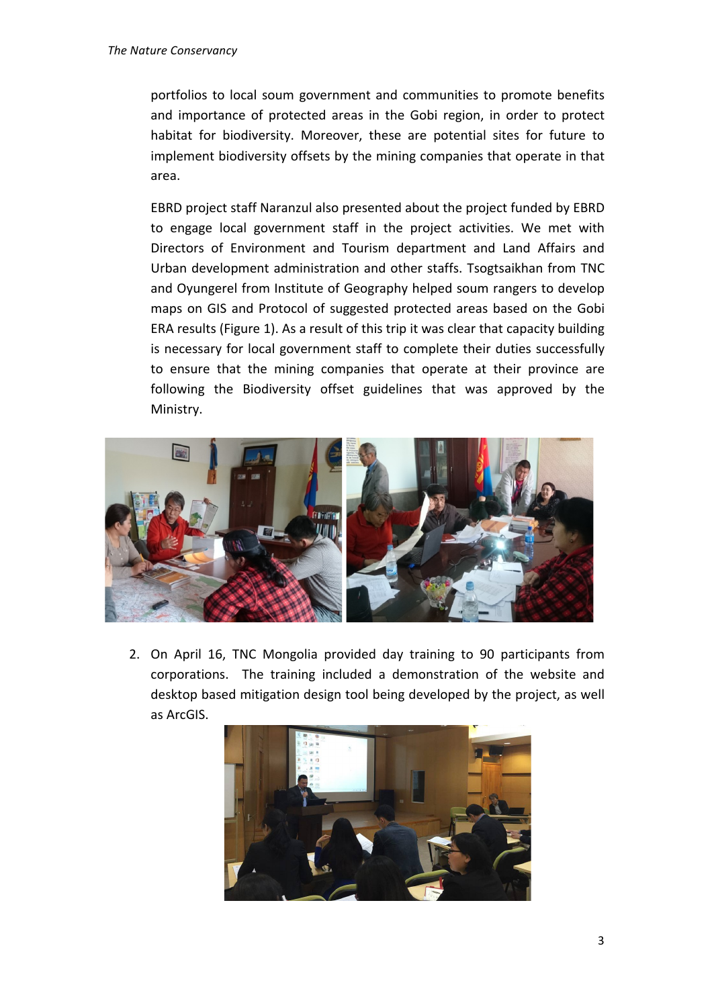portfolios to local soum government and communities to promote benefits and importance of protected areas in the Gobi region, in order to protect habitat for biodiversity. Moreover, these are potential sites for future to implement biodiversity offsets by the mining companies that operate in that area.

EBRD project staff Naranzul also presented about the project funded by EBRD to engage local government staff in the project activities. We met with Directors of Environment and Tourism department and Land Affairs and Urban development administration and other staffs. Tsogtsaikhan from TNC and Oyungerel from Institute of Geography helped soum rangers to develop maps on GIS and Protocol of suggested protected areas based on the Gobi ERA results (Figure 1). As a result of this trip it was clear that capacity building is necessary for local government staff to complete their duties successfully to ensure that the mining companies that operate at their province are following the Biodiversity offset guidelines that was approved by the Ministry.



2. On April 16, TNC Mongolia provided day training to 90 participants from corporations. The training included a demonstration of the website and desktop based mitigation design tool being developed by the project, as well as ArcGIS.

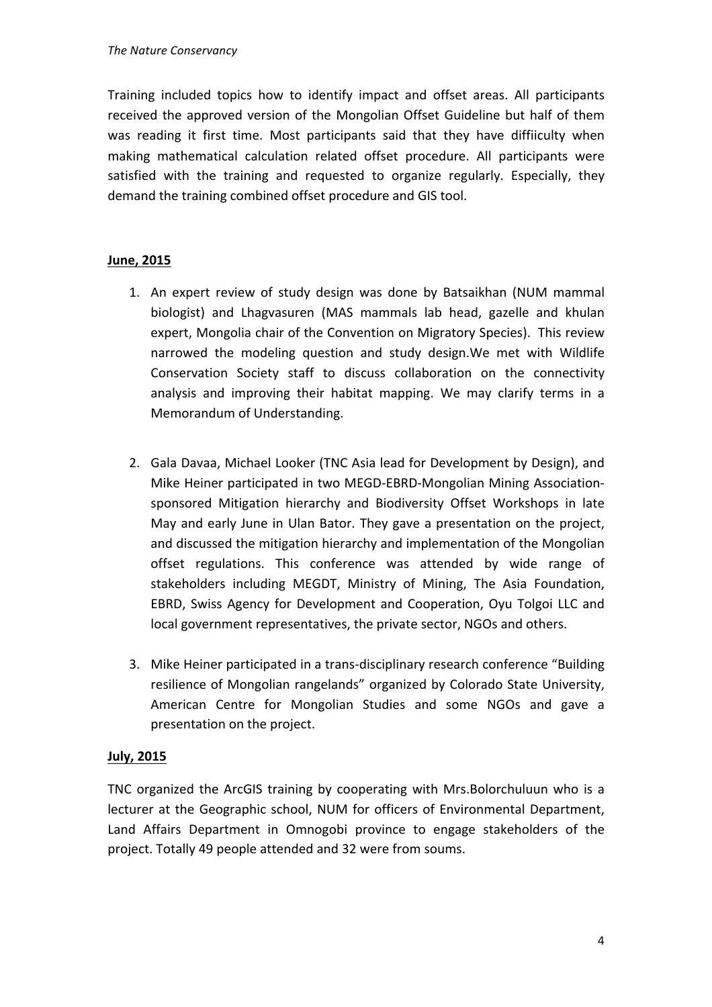Training included topics how to identify impact and offset areas. All participants received the approved version of the Mongolian Offset Guideline but half of them was reading it first time. Most participants said that they have diffiiculty when making mathematical calculation related offset procedure. All participants were satisfied with the training and requested to organize regularly. Especially, they demand the training combined offset procedure and GIS tool.

## **June, 2015**

- 1. An expert review of study design was done by Batsaikhan (NUM mammal biologist) and Lhagvasuren (MAS mammals lab head, gazelle and khulan expert, Mongolia chair of the Convention on Migratory Species). This review narrowed the modeling question and study design. We met with Wildlife Conservation Society staff to discuss collaboration on the connectivity analysis and improving their habitat mapping. We may clarify terms in a Memorandum of Understanding.
- 2. Gala Davaa, Michael Looker (TNC Asia lead for Development by Design), and Mike Heiner participated in two MEGD-EBRD-Mongolian Mining Associationsponsored Mitigation hierarchy and Biodiversity Offset Workshops in late May and early June in Ulan Bator. They gave a presentation on the project, and discussed the mitigation hierarchy and implementation of the Mongolian offset regulations. This conference was attended by wide range of stakeholders including MEGDT, Ministry of Mining, The Asia Foundation, EBRD, Swiss Agency for Development and Cooperation, Oyu Tolgoi LLC and local government representatives, the private sector, NGOs and others.
- 3. Mike Heiner participated in a trans-disciplinary research conference "Building resilience of Mongolian rangelands" organized by Colorado State University, American Centre for Mongolian Studies and some NGOs and gave a presentation on the project.

## **July, 2015**

TNC organized the ArcGIS training by cooperating with Mrs.Bolorchuluun who is a lecturer at the Geographic school, NUM for officers of Environmental Department, Land Affairs Department in Omnogobi province to engage stakeholders of the project. Totally 49 people attended and 32 were from soums.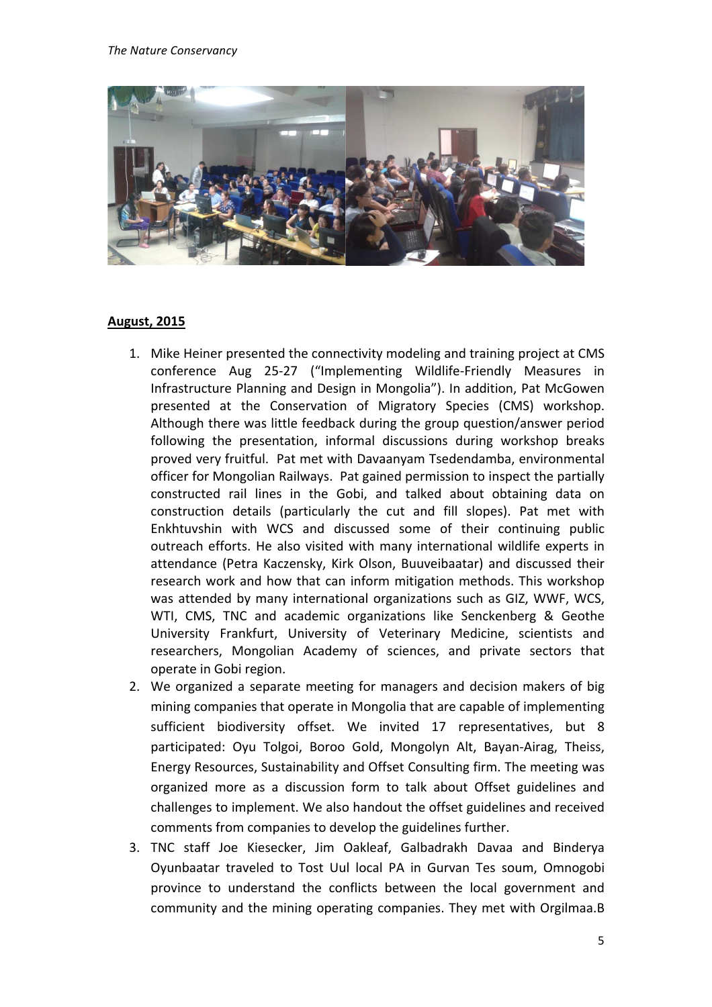

#### **August, 2015**

- 1. Mike Heiner presented the connectivity modeling and training project at CMS conference Aug 25-27 ("Implementing Wildlife-Friendly Measures in Infrastructure Planning and Design in Mongolia"). In addition, Pat McGowen presented at the Conservation of Migratory Species (CMS) workshop. Although there was little feedback during the group question/answer period following the presentation, informal discussions during workshop breaks proved very fruitful. Pat met with Davaanyam Tsedendamba, environmental officer for Mongolian Railways. Pat gained permission to inspect the partially constructed rail lines in the Gobi, and talked about obtaining data on construction details (particularly the cut and fill slopes). Pat met with Enkhtuvshin with WCS and discussed some of their continuing public outreach efforts. He also visited with many international wildlife experts in attendance (Petra Kaczensky, Kirk Olson, Buuveibaatar) and discussed their research work and how that can inform mitigation methods. This workshop was attended by many international organizations such as GIZ, WWF, WCS, WTI, CMS, TNC and academic organizations like Senckenberg & Geothe University Frankfurt, University of Veterinary Medicine, scientists and researchers, Mongolian Academy of sciences, and private sectors that operate in Gobi region.
- 2. We organized a separate meeting for managers and decision makers of big mining companies that operate in Mongolia that are capable of implementing sufficient biodiversity offset. We invited 17 representatives, but 8 participated: Oyu Tolgoi, Boroo Gold, Mongolyn Alt, Bayan-Airag, Theiss, Energy Resources, Sustainability and Offset Consulting firm. The meeting was organized more as a discussion form to talk about Offset guidelines and challenges to implement. We also handout the offset guidelines and received comments from companies to develop the guidelines further.
- 3. TNC staff Joe Kiesecker, Jim Oakleaf, Galbadrakh Davaa and Binderya Oyunbaatar traveled to Tost Uul local PA in Gurvan Tes soum, Omnogobi province to understand the conflicts between the local government and community and the mining operating companies. They met with Orgilmaa.B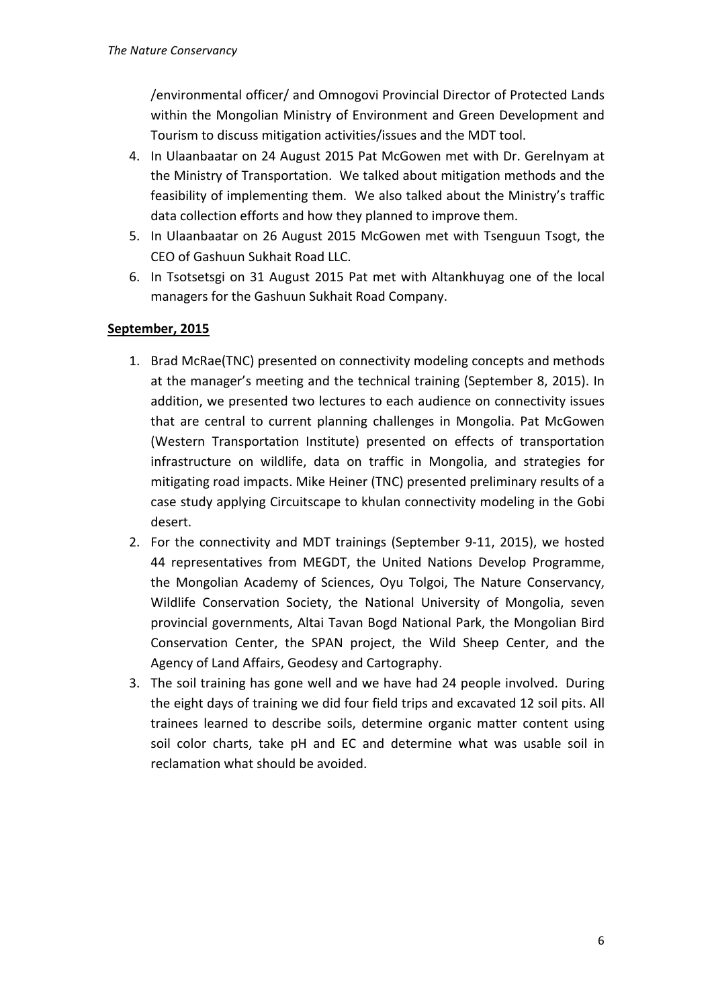/environmental officer/ and Omnogovi Provincial Director of Protected Lands within the Mongolian Ministry of Environment and Green Development and Tourism to discuss mitigation activities/issues and the MDT tool.

- 4. In Ulaanbaatar on 24 August 2015 Pat McGowen met with Dr. Gerelnyam at the Ministry of Transportation. We talked about mitigation methods and the feasibility of implementing them. We also talked about the Ministry's traffic data collection efforts and how they planned to improve them.
- 5. In Ulaanbaatar on 26 August 2015 McGowen met with Tsenguun Tsogt, the CEO of Gashuun Sukhait Road LLC.
- 6. In Tsotsetsgi on 31 August 2015 Pat met with Altankhuyag one of the local managers for the Gashuun Sukhait Road Company.

## September, 2015

- 1. Brad McRae(TNC) presented on connectivity modeling concepts and methods at the manager's meeting and the technical training (September 8, 2015). In addition, we presented two lectures to each audience on connectivity issues that are central to current planning challenges in Mongolia. Pat McGowen (Western Transportation Institute) presented on effects of transportation infrastructure on wildlife, data on traffic in Mongolia, and strategies for mitigating road impacts. Mike Heiner (TNC) presented preliminary results of a case study applying Circuitscape to khulan connectivity modeling in the Gobi desert.
- 2. For the connectivity and MDT trainings (September 9-11, 2015), we hosted 44 representatives from MEGDT, the United Nations Develop Programme, the Mongolian Academy of Sciences, Oyu Tolgoi, The Nature Conservancy, Wildlife Conservation Society, the National University of Mongolia, seven provincial governments, Altai Tavan Bogd National Park, the Mongolian Bird Conservation Center, the SPAN project, the Wild Sheep Center, and the Agency of Land Affairs, Geodesy and Cartography.
- 3. The soil training has gone well and we have had 24 people involved. During the eight days of training we did four field trips and excavated 12 soil pits. All trainees learned to describe soils, determine organic matter content using soil color charts, take pH and EC and determine what was usable soil in reclamation what should be avoided.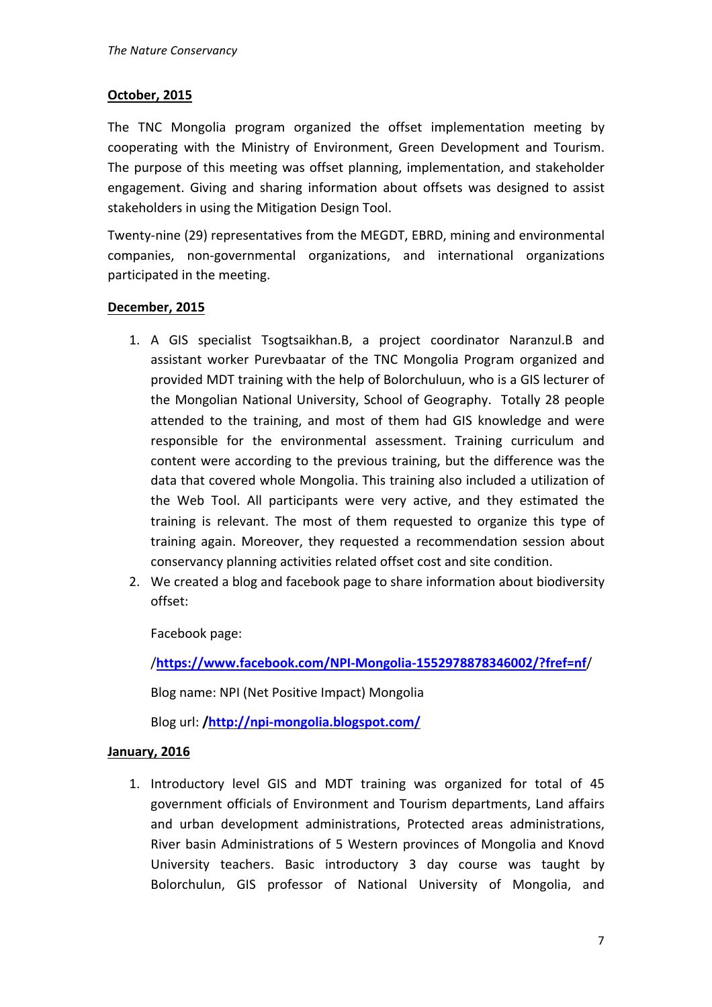### **October, 2015**

The TNC Mongolia program organized the offset implementation meeting by cooperating with the Ministry of Environment, Green Development and Tourism. The purpose of this meeting was offset planning, implementation, and stakeholder engagement. Giving and sharing information about offsets was designed to assist stakeholders in using the Mitigation Design Tool.

Twenty-nine (29) representatives from the MEGDT, EBRD, mining and environmental companies, non-governmental organizations, and international organizations participated in the meeting.

### **December, 2015**

- 1. A GIS specialist Tsogtsaikhan.B, a project coordinator Naranzul.B and assistant worker Purevbaatar of the TNC Mongolia Program organized and provided MDT training with the help of Bolorchuluun, who is a GIS lecturer of the Mongolian National University, School of Geography. Totally 28 people attended to the training, and most of them had GIS knowledge and were responsible for the environmental assessment. Training curriculum and content were according to the previous training, but the difference was the data that covered whole Mongolia. This training also included a utilization of the Web Tool. All participants were very active, and they estimated the training is relevant. The most of them requested to organize this type of training again. Moreover, they requested a recommendation session about conservancy planning activities related offset cost and site condition.
- 2. We created a blog and facebook page to share information about biodiversity offset:

Facebook page:

/**https://www.facebook.com/NPI-Mongolia-1552978878346002/?fref=nf**/

Blog name: NPI (Net Positive Impact) Mongolia

Blog url: **/http://npi-mongolia.blogspot.com/**

## **January, 2016**

1. Introductory level GIS and MDT training was organized for total of 45 government officials of Environment and Tourism departments, Land affairs and urban development administrations, Protected areas administrations, River basin Administrations of 5 Western provinces of Mongolia and Knovd University teachers. Basic introductory 3 day course was taught by Bolorchulun, GIS professor of National University of Mongolia, and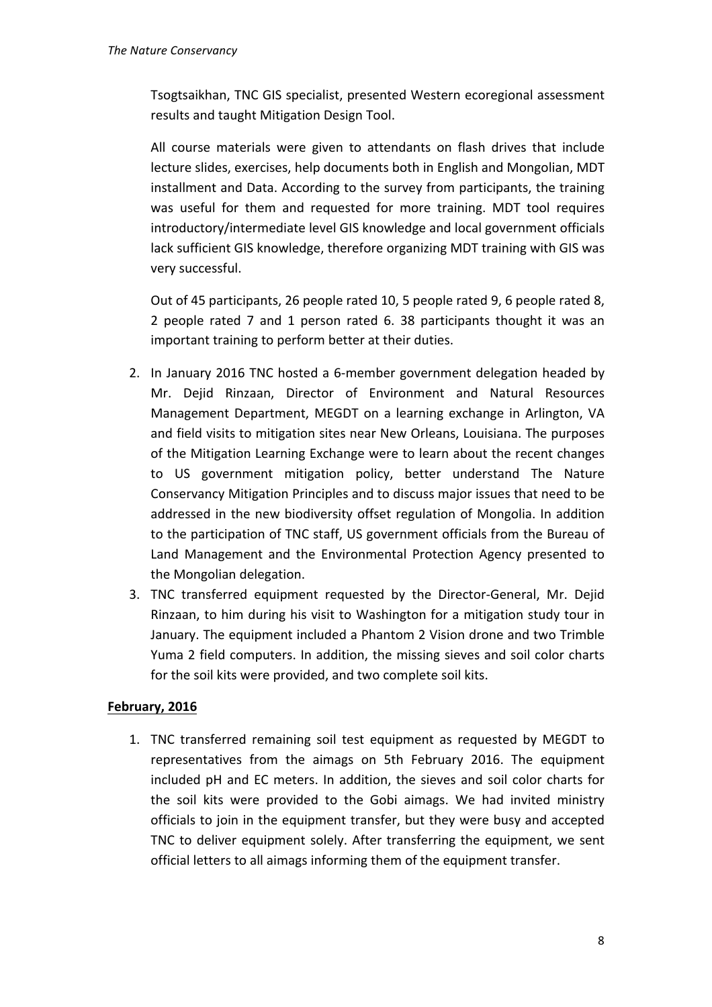Tsogtsaikhan, TNC GIS specialist, presented Western ecoregional assessment results and taught Mitigation Design Tool.

All course materials were given to attendants on flash drives that include lecture slides, exercises, help documents both in English and Mongolian, MDT installment and Data. According to the survey from participants, the training was useful for them and requested for more training. MDT tool requires introductory/intermediate level GIS knowledge and local government officials lack sufficient GIS knowledge, therefore organizing MDT training with GIS was very successful.

Out of 45 participants, 26 people rated 10, 5 people rated 9, 6 people rated 8, 2 people rated 7 and 1 person rated 6. 38 participants thought it was an important training to perform better at their duties.

- 2. In January 2016 TNC hosted a 6-member government delegation headed by Mr. Dejid Rinzaan, Director of Environment and Natural Resources Management Department, MEGDT on a learning exchange in Arlington, VA and field visits to mitigation sites near New Orleans, Louisiana. The purposes of the Mitigation Learning Exchange were to learn about the recent changes to US government mitigation policy, better understand The Nature Conservancy Mitigation Principles and to discuss major issues that need to be addressed in the new biodiversity offset regulation of Mongolia. In addition to the participation of TNC staff, US government officials from the Bureau of Land Management and the Environmental Protection Agency presented to the Mongolian delegation.
- 3. TNC transferred equipment requested by the Director-General, Mr. Dejid Rinzaan, to him during his visit to Washington for a mitigation study tour in January. The equipment included a Phantom 2 Vision drone and two Trimble Yuma 2 field computers. In addition, the missing sieves and soil color charts for the soil kits were provided, and two complete soil kits.

## February, 2016

1. TNC transferred remaining soil test equipment as requested by MEGDT to representatives from the aimags on 5th February 2016. The equipment included pH and EC meters. In addition, the sieves and soil color charts for the soil kits were provided to the Gobi aimags. We had invited ministry officials to join in the equipment transfer, but they were busy and accepted TNC to deliver equipment solely. After transferring the equipment, we sent official letters to all aimags informing them of the equipment transfer.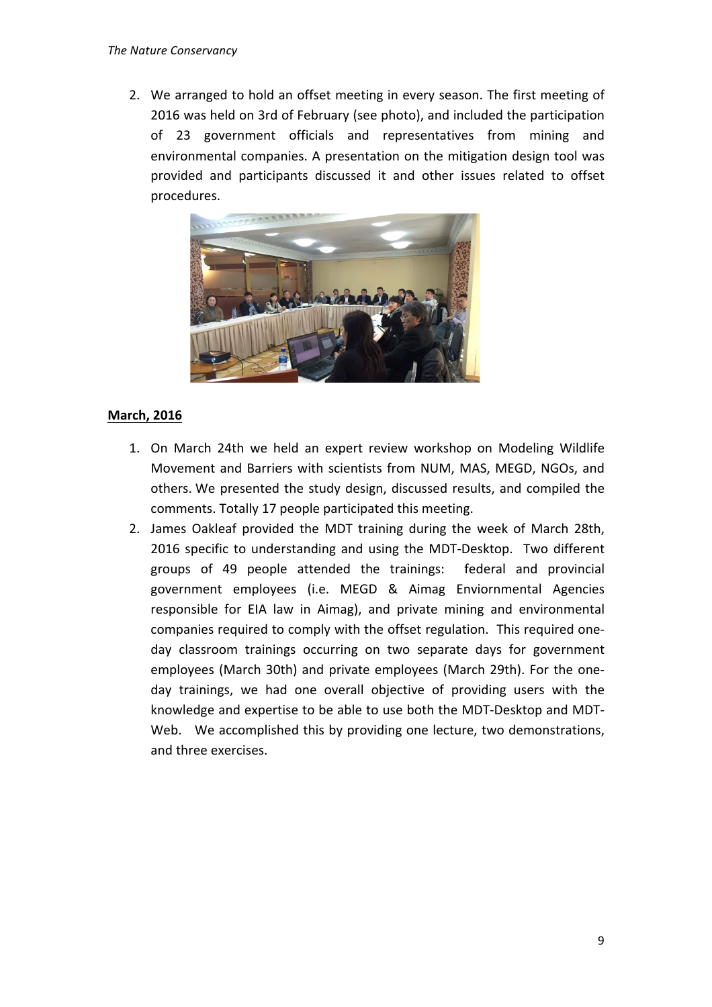2. We arranged to hold an offset meeting in every season. The first meeting of 2016 was held on 3rd of February (see photo), and included the participation of 23 government officials and representatives from mining and environmental companies. A presentation on the mitigation design tool was provided and participants discussed it and other issues related to offset procedures. 



## **March, 2016**

- 1. On March 24th we held an expert review workshop on Modeling Wildlife Movement and Barriers with scientists from NUM, MAS, MEGD, NGOs, and others. We presented the study design, discussed results, and compiled the comments. Totally 17 people participated this meeting.
- 2. James Oakleaf provided the MDT training during the week of March 28th, 2016 specific to understanding and using the MDT-Desktop. Two different groups of 49 people attended the trainings: federal and provincial government employees (i.e. MEGD & Aimag Enviornmental Agencies responsible for EIA law in Aimag), and private mining and environmental companies required to comply with the offset regulation. This required oneday classroom trainings occurring on two separate days for government employees (March 30th) and private employees (March 29th). For the oneday trainings, we had one overall objective of providing users with the knowledge and expertise to be able to use both the MDT-Desktop and MDT-Web. We accomplished this by providing one lecture, two demonstrations, and three exercises.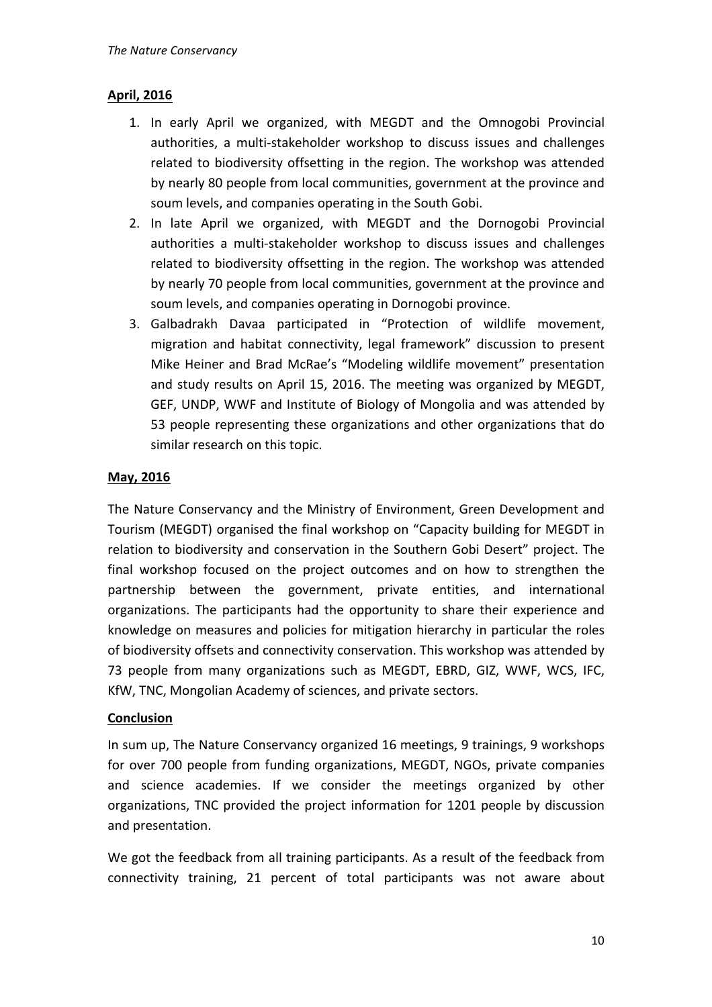## **April, 2016**

- 1. In early April we organized, with MEGDT and the Omnogobi Provincial authorities, a multi-stakeholder workshop to discuss issues and challenges related to biodiversity offsetting in the region. The workshop was attended by nearly 80 people from local communities, government at the province and soum levels, and companies operating in the South Gobi.
- 2. In late April we organized, with MEGDT and the Dornogobi Provincial authorities a multi-stakeholder workshop to discuss issues and challenges related to biodiversity offsetting in the region. The workshop was attended by nearly 70 people from local communities, government at the province and soum levels, and companies operating in Dornogobi province.
- 3. Galbadrakh Davaa participated in "Protection of wildlife movement, migration and habitat connectivity, legal framework" discussion to present Mike Heiner and Brad McRae's "Modeling wildlife movement" presentation and study results on April 15, 2016. The meeting was organized by MEGDT, GEF, UNDP, WWF and Institute of Biology of Mongolia and was attended by 53 people representing these organizations and other organizations that do similar research on this topic.

## **May, 2016**

The Nature Conservancy and the Ministry of Environment, Green Development and Tourism (MEGDT) organised the final workshop on "Capacity building for MEGDT in relation to biodiversity and conservation in the Southern Gobi Desert" project. The final workshop focused on the project outcomes and on how to strengthen the partnership between the government, private entities, and international organizations. The participants had the opportunity to share their experience and knowledge on measures and policies for mitigation hierarchy in particular the roles of biodiversity offsets and connectivity conservation. This workshop was attended by 73 people from many organizations such as MEGDT, EBRD, GIZ, WWF, WCS, IFC, KfW, TNC, Mongolian Academy of sciences, and private sectors.

#### **Conclusion**

In sum up, The Nature Conservancy organized 16 meetings, 9 trainings, 9 workshops for over 700 people from funding organizations, MEGDT, NGOs, private companies and science academies. If we consider the meetings organized by other organizations, TNC provided the project information for 1201 people by discussion and presentation.

We got the feedback from all training participants. As a result of the feedback from connectivity training, 21 percent of total participants was not aware about